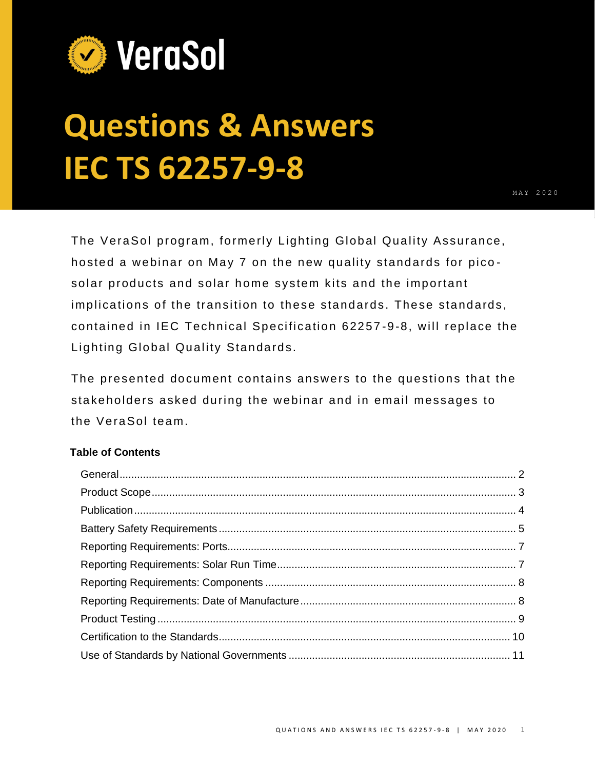

# **Questions & Answers IEC TS 62257-9-8**

The VeraSol program, formerly Lighting Global Quality Assurance, hosted a webinar on May 7 on the new quality standards for pico solar products and solar home system kits and the important implications of the transition to these standards. These standards, contained in IEC Technical Specification 62257 -9-8, will replace the Lighting Global Quality Standards.

The presented document contains answers to the questions that the stakeholders asked during the webinar and in email messages to the VeraSol team.

# **Table of Contents**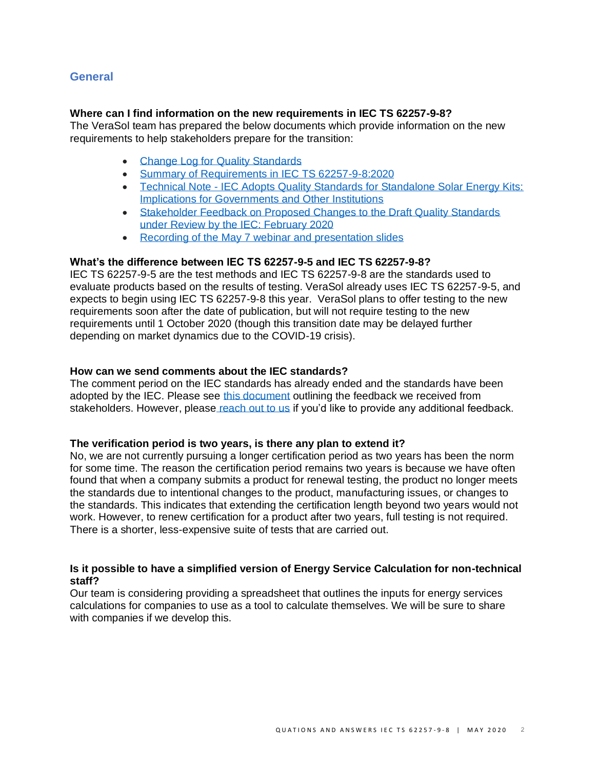## <span id="page-1-0"></span>**General**

## **Where can I find information on the new requirements in IEC TS 62257-9-8?**

The VeraSol team has prepared the below documents which provide information on the new requirements to help stakeholders prepare for the transition:

- [Change Log for Quality Standards](https://www.lightingglobal.org/resource/change-log-for-quality-standards/)
- [Summary of Requirements in IEC TS 62257-9-8:2020](https://www.lightingglobal.org/resource/summary-of-requirements-in-iec-ts-62257-9-82020/)
- Technical Note IEC Adopts Quality Standards for Standalone Solar Energy Kits: [Implications for Governments and Other Institutions](https://www.lightingglobal.org/resource/iec-adopts-quality-standards-for-standalone-solar-energy-kits-implications-for-governments-and-other-institutions/)
- [Stakeholder Feedback on Proposed Changes to the Draft Quality Standards](https://www.lightingglobal.org/resource/stakeholder-feedback-on-proposed-changes-to-the-draft-quality-standards-under-review-by-the-iec-february-2020/)  [under Review by the IEC: February 2020](https://www.lightingglobal.org/resource/stakeholder-feedback-on-proposed-changes-to-the-draft-quality-standards-under-review-by-the-iec-february-2020/)
- [Recording of the May 7 webinar and presentation slides](https://drive.google.com/drive/u/3/folders/1db0qUcGq56-lmtG9zJ0WhV8MXkEO7_6W)

## **What's the difference between IEC TS 62257-9-5 and IEC TS 62257-9-8?**

IEC TS 62257-9-5 are the test methods and IEC TS 62257-9-8 are the standards used to evaluate products based on the results of testing. VeraSol already uses IEC TS 62257-9-5, and expects to begin using IEC TS 62257-9-8 this year. VeraSol plans to offer testing to the new requirements soon after the date of publication, but will not require testing to the new requirements until 1 October 2020 (though this transition date may be delayed further depending on market dynamics due to the COVID-19 crisis).

## **How can we send comments about the IEC standards?**

The comment period on the IEC standards has already ended and the standards have been adopted by the IEC. Please see [this document](https://www.lightingglobal.org/resource/stakeholder-feedback-on-proposed-changes-to-the-draft-quality-standards-under-review-by-the-iec-february-2020/) outlining the feedback we received from stakeholders. However, please [reach out to us](mailto:info@verasol.org) if you'd like to provide any additional feedback.

#### **The verification period is two years, is there any plan to extend it?**

No, we are not currently pursuing a longer certification period as two years has been the norm for some time. The reason the certification period remains two years is because we have often found that when a company submits a product for renewal testing, the product no longer meets the standards due to intentional changes to the product, manufacturing issues, or changes to the standards. This indicates that extending the certification length beyond two years would not work. However, to renew certification for a product after two years, full testing is not required. There is a shorter, less-expensive suite of tests that are carried out.

## **Is it possible to have a simplified version of Energy Service Calculation for non-technical staff?**

Our team is considering providing a spreadsheet that outlines the inputs for energy services calculations for companies to use as a tool to calculate themselves. We will be sure to share with companies if we develop this.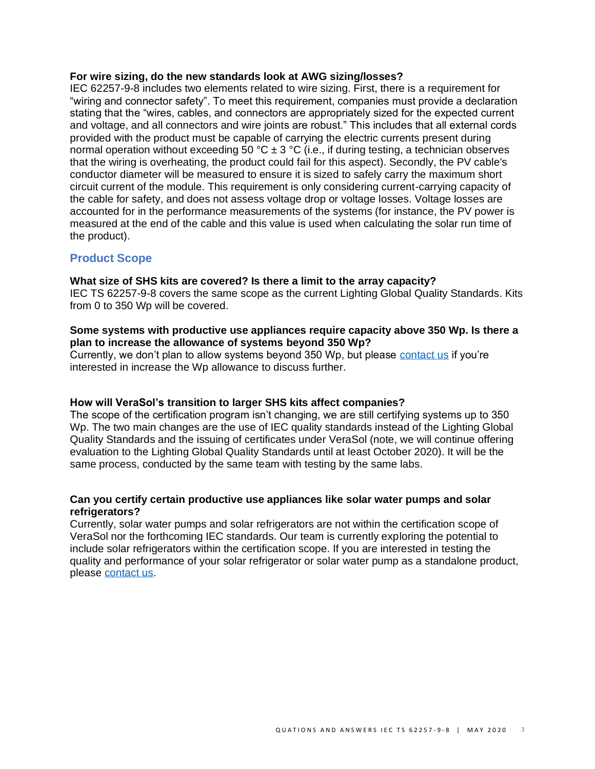## **For wire sizing, do the new standards look at AWG sizing/losses?**

IEC 62257-9-8 includes two elements related to wire sizing. First, there is a requirement for "wiring and connector safety". To meet this requirement, companies must provide a declaration stating that the "wires, cables, and connectors are appropriately sized for the expected current and voltage, and all connectors and wire joints are robust." This includes that all external cords provided with the product must be capable of carrying the electric currents present during normal operation without exceeding 50 °C  $\pm$  3 °C (i.e., if during testing, a technician observes that the wiring is overheating, the product could fail for this aspect). Secondly, the PV cable's conductor diameter will be measured to ensure it is sized to safely carry the maximum short circuit current of the module. This requirement is only considering current-carrying capacity of the cable for safety, and does not assess voltage drop or voltage losses. Voltage losses are accounted for in the performance measurements of the systems (for instance, the PV power is measured at the end of the cable and this value is used when calculating the solar run time of the product).

## <span id="page-2-0"></span>**Product Scope**

## **What size of SHS kits are covered? Is there a limit to the array capacity?**

IEC TS 62257-9-8 covers the same scope as the current Lighting Global Quality Standards. Kits from 0 to 350 Wp will be covered.

## **Some systems with productive use appliances require capacity above 350 Wp. Is there a plan to increase the allowance of systems beyond 350 Wp?**

Currently, we don't plan to allow systems beyond 350 Wp, but please [contact us](mailto:info@verasol.org) if you're interested in increase the Wp allowance to discuss further.

## **How will VeraSol's transition to larger SHS kits affect companies?**

The scope of the certification program isn't changing, we are still certifying systems up to 350 Wp. The two main changes are the use of IEC quality standards instead of the Lighting Global Quality Standards and the issuing of certificates under VeraSol (note, we will continue offering evaluation to the Lighting Global Quality Standards until at least October 2020). It will be the same process, conducted by the same team with testing by the same labs.

## **Can you certify certain productive use appliances like solar water pumps and solar refrigerators?**

Currently, solar water pumps and solar refrigerators are not within the certification scope of VeraSol nor the forthcoming IEC standards. Our team is currently exploring the potential to include solar refrigerators within the certification scope. If you are interested in testing the quality and performance of your solar refrigerator or solar water pump as a standalone product, please [contact us.](mailto:info@verasol.org)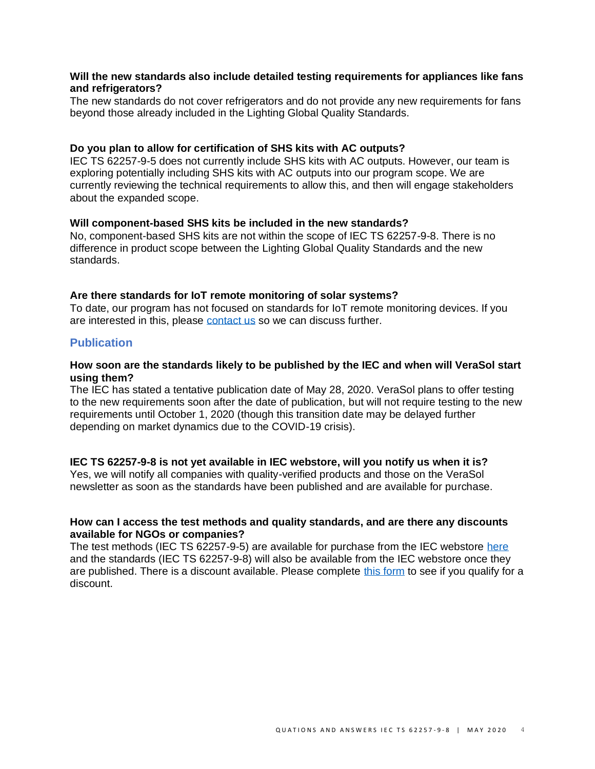## **Will the new standards also include detailed testing requirements for appliances like fans and refrigerators?**

The new standards do not cover refrigerators and do not provide any new requirements for fans beyond those already included in the Lighting Global Quality Standards.

#### **Do you plan to allow for certification of SHS kits with AC outputs?**

IEC TS 62257-9-5 does not currently include SHS kits with AC outputs. However, our team is exploring potentially including SHS kits with AC outputs into our program scope. We are currently reviewing the technical requirements to allow this, and then will engage stakeholders about the expanded scope.

#### **Will component-based SHS kits be included in the new standards?**

No, component-based SHS kits are not within the scope of IEC TS 62257-9-8. There is no difference in product scope between the Lighting Global Quality Standards and the new standards.

## **Are there standards for IoT remote monitoring of solar systems?**

To date, our program has not focused on standards for IoT remote monitoring devices. If you are interested in this, please [contact us](mailto:info@verasol.org) so we can discuss further.

## <span id="page-3-0"></span>**Publication**

#### **How soon are the standards likely to be published by the IEC and when will VeraSol start using them?**

The IEC has stated a tentative publication date of May 28, 2020. VeraSol plans to offer testing to the new requirements soon after the date of publication, but will not require testing to the new requirements until October 1, 2020 (though this transition date may be delayed further depending on market dynamics due to the COVID-19 crisis).

## **IEC TS 62257-9-8 is not yet available in IEC webstore, will you notify us when it is?**

Yes, we will notify all companies with quality-verified products and those on the VeraSol newsletter as soon as the standards have been published and are available for purchase.

#### **How can I access the test methods and quality standards, and are there any discounts available for NGOs or companies?**

The test methods (IEC TS 62257-9-5) are available for purchase from the IEC webstore [here](https://webstore.iec.ch/publication/59747) and the standards (IEC TS 62257-9-8) will also be available from the IEC webstore once they are published. There is a discount available. Please complete [this form](https://www.surveymonkey.com/r/JKNPTYX) to see if you qualify for a discount.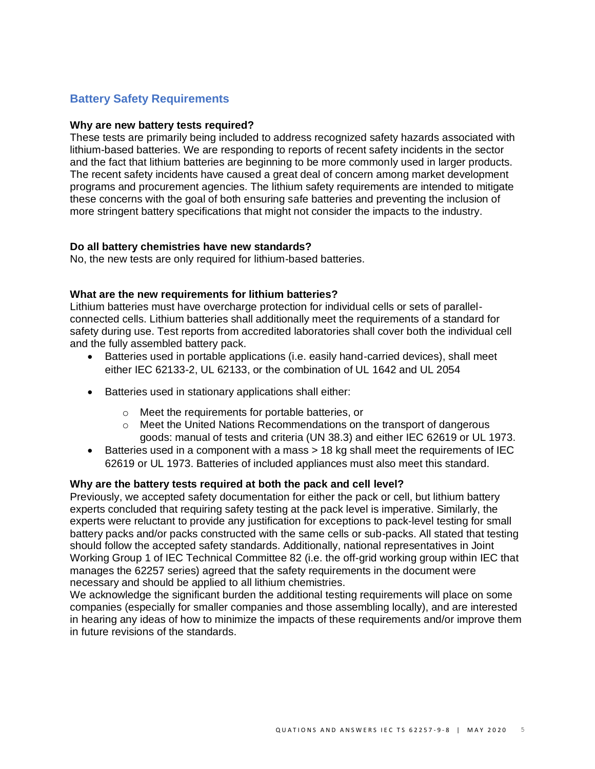# <span id="page-4-0"></span>**Battery Safety Requirements**

## **Why are new battery tests required?**

These tests are primarily being included to address recognized safety hazards associated with lithium-based batteries. We are responding to reports of recent safety incidents in the sector and the fact that lithium batteries are beginning to be more commonly used in larger products. The recent safety incidents have caused a great deal of concern among market development programs and procurement agencies. The lithium safety requirements are intended to mitigate these concerns with the goal of both ensuring safe batteries and preventing the inclusion of more stringent battery specifications that might not consider the impacts to the industry.

## **Do all battery chemistries have new standards?**

No, the new tests are only required for lithium-based batteries.

## **What are the new requirements for lithium batteries?**

Lithium batteries must have overcharge protection for individual cells or sets of parallelconnected cells. Lithium batteries shall additionally meet the requirements of a standard for safety during use. Test reports from accredited laboratories shall cover both the individual cell and the fully assembled battery pack.

- Batteries used in portable applications (i.e. easily hand-carried devices), shall meet either IEC 62133-2, UL 62133, or the combination of UL 1642 and UL 2054
- Batteries used in stationary applications shall either:
	- o Meet the requirements for portable batteries, or
	- $\circ$  Meet the United Nations Recommendations on the transport of dangerous goods: manual of tests and criteria (UN 38.3) and either IEC 62619 or UL 1973.
- Batteries used in a component with a mass > 18 kg shall meet the requirements of IEC 62619 or UL 1973. Batteries of included appliances must also meet this standard.

## **Why are the battery tests required at both the pack and cell level?**

Previously, we accepted safety documentation for either the pack or cell, but lithium battery experts concluded that requiring safety testing at the pack level is imperative. Similarly, the experts were reluctant to provide any justification for exceptions to pack-level testing for small battery packs and/or packs constructed with the same cells or sub-packs. All stated that testing should follow the accepted safety standards. Additionally, national representatives in Joint Working Group 1 of IEC Technical Committee 82 (i.e. the off-grid working group within IEC that manages the 62257 series) agreed that the safety requirements in the document were necessary and should be applied to all lithium chemistries.

We acknowledge the significant burden the additional testing requirements will place on some companies (especially for smaller companies and those assembling locally), and are interested in hearing any ideas of how to minimize the impacts of these requirements and/or improve them in future revisions of the standards.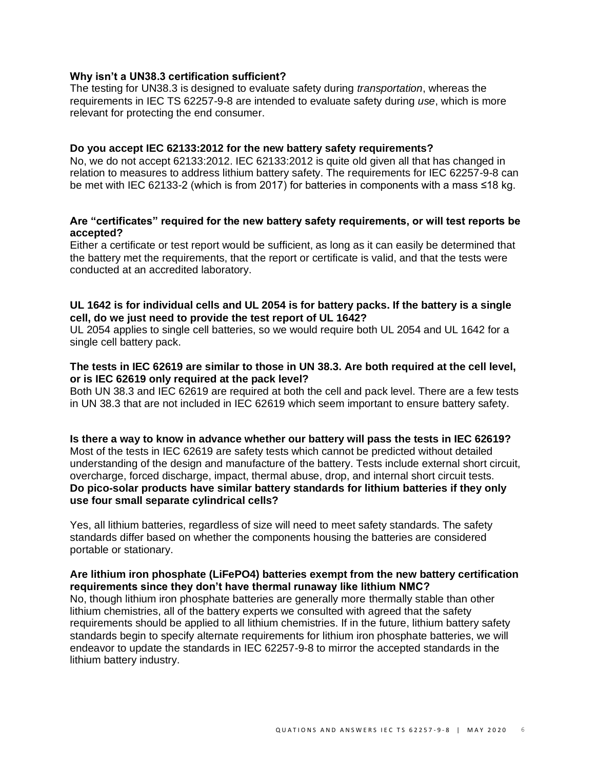## **Why isn't a UN38.3 certification sufficient?**

The testing for UN38.3 is designed to evaluate safety during *transportation*, whereas the requirements in IEC TS 62257-9-8 are intended to evaluate safety during *use*, which is more relevant for protecting the end consumer.

#### **Do you accept IEC 62133:2012 for the new battery safety requirements?**

No, we do not accept 62133:2012. IEC 62133:2012 is quite old given all that has changed in relation to measures to address lithium battery safety. The requirements for IEC 62257-9-8 can be met with IEC 62133-2 (which is from 2017) for batteries in components with a mass ≤18 kg.

## **Are "certificates" required for the new battery safety requirements, or will test reports be accepted?**

Either a certificate or test report would be sufficient, as long as it can easily be determined that the battery met the requirements, that the report or certificate is valid, and that the tests were conducted at an accredited laboratory.

## **UL 1642 is for individual cells and UL 2054 is for battery packs. If the battery is a single cell, do we just need to provide the test report of UL 1642?**

UL 2054 applies to single cell batteries, so we would require both UL 2054 and UL 1642 for a single cell battery pack.

## **The tests in IEC 62619 are similar to those in UN 38.3. Are both required at the cell level, or is IEC 62619 only required at the pack level?**

Both UN 38.3 and IEC 62619 are required at both the cell and pack level. There are a few tests in UN 38.3 that are not included in IEC 62619 which seem important to ensure battery safety.

**Is there a way to know in advance whether our battery will pass the tests in IEC 62619?** Most of the tests in IEC 62619 are safety tests which cannot be predicted without detailed understanding of the design and manufacture of the battery. Tests include external short circuit, overcharge, forced discharge, impact, thermal abuse, drop, and internal short circuit tests. **Do pico-solar products have similar battery standards for lithium batteries if they only use four small separate cylindrical cells?**

Yes, all lithium batteries, regardless of size will need to meet safety standards. The safety standards differ based on whether the components housing the batteries are considered portable or stationary.

## **Are lithium iron phosphate (LiFePO4) batteries exempt from the new battery certification requirements since they don't have thermal runaway like lithium NMC?**

No, though lithium iron phosphate batteries are generally more thermally stable than other lithium chemistries, all of the battery experts we consulted with agreed that the safety requirements should be applied to all lithium chemistries. If in the future, lithium battery safety standards begin to specify alternate requirements for lithium iron phosphate batteries, we will endeavor to update the standards in IEC 62257-9-8 to mirror the accepted standards in the lithium battery industry.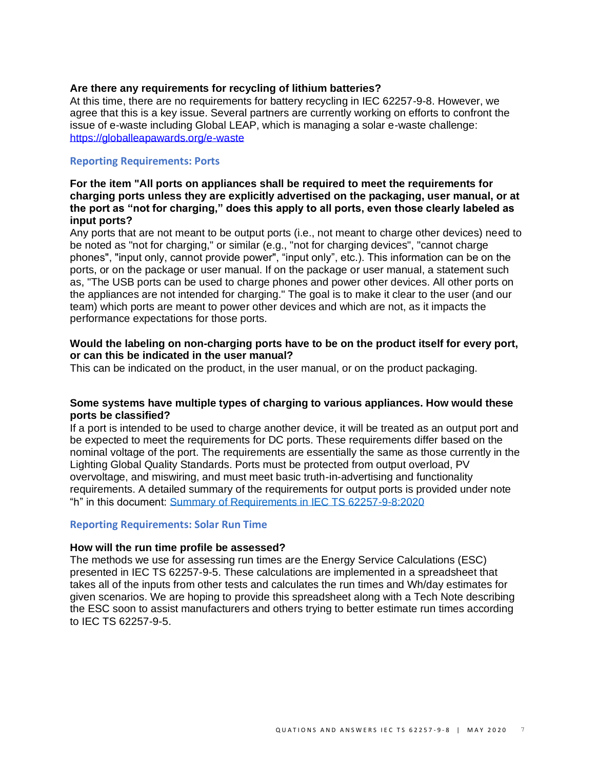## **Are there any requirements for recycling of lithium batteries?**

At this time, there are no requirements for battery recycling in IEC 62257-9-8. However, we agree that this is a key issue. Several partners are currently working on efforts to confront the issue of e-waste including Global LEAP, which is managing a solar e-waste challenge: <https://globalleapawards.org/e-waste>

## <span id="page-6-0"></span>**Reporting Requirements: Ports**

## **For the item "All ports on appliances shall be required to meet the requirements for charging ports unless they are explicitly advertised on the packaging, user manual, or at the port as "not for charging," does this apply to all ports, even those clearly labeled as input ports?**

Any ports that are not meant to be output ports (i.e., not meant to charge other devices) need to be noted as "not for charging," or similar (e.g., "not for charging devices", "cannot charge phones", "input only, cannot provide power", "input only", etc.). This information can be on the ports, or on the package or user manual. If on the package or user manual, a statement such as, "The USB ports can be used to charge phones and power other devices. All other ports on the appliances are not intended for charging." The goal is to make it clear to the user (and our team) which ports are meant to power other devices and which are not, as it impacts the performance expectations for those ports.

## **Would the labeling on non-charging ports have to be on the product itself for every port, or can this be indicated in the user manual?**

This can be indicated on the product, in the user manual, or on the product packaging.

## **Some systems have multiple types of charging to various appliances. How would these ports be classified?**

If a port is intended to be used to charge another device, it will be treated as an output port and be expected to meet the requirements for DC ports. These requirements differ based on the nominal voltage of the port. The requirements are essentially the same as those currently in the Lighting Global Quality Standards. Ports must be protected from output overload, PV overvoltage, and miswiring, and must meet basic truth-in-advertising and functionality requirements. A detailed summary of the requirements for output ports is provided under note "h" in this document: [Summary of Requirements in IEC TS 62257-9-8:2020](https://www.lightingglobal.org/resource/summary-of-requirements-in-iec-ts-62257-9-82020/)

## <span id="page-6-1"></span>**Reporting Requirements: Solar Run Time**

## **How will the run time profile be assessed?**

The methods we use for assessing run times are the Energy Service Calculations (ESC) presented in IEC TS 62257-9-5. These calculations are implemented in a spreadsheet that takes all of the inputs from other tests and calculates the run times and Wh/day estimates for given scenarios. We are hoping to provide this spreadsheet along with a Tech Note describing the ESC soon to assist manufacturers and others trying to better estimate run times according to IEC TS 62257-9-5.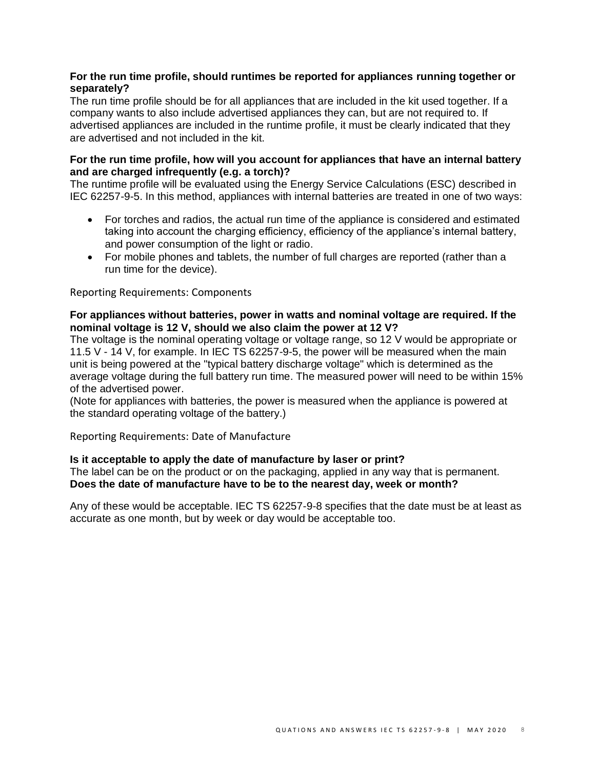## **For the run time profile, should runtimes be reported for appliances running together or separately?**

The run time profile should be for all appliances that are included in the kit used together. If a company wants to also include advertised appliances they can, but are not required to. If advertised appliances are included in the runtime profile, it must be clearly indicated that they are advertised and not included in the kit.

## **For the run time profile, how will you account for appliances that have an internal battery and are charged infrequently (e.g. a torch)?**

The runtime profile will be evaluated using the Energy Service Calculations (ESC) described in IEC 62257-9-5. In this method, appliances with internal batteries are treated in one of two ways:

- For torches and radios, the actual run time of the appliance is considered and estimated taking into account the charging efficiency, efficiency of the appliance's internal battery, and power consumption of the light or radio.
- For mobile phones and tablets, the number of full charges are reported (rather than a run time for the device).

<span id="page-7-0"></span>Reporting Requirements: Components

## **For appliances without batteries, power in watts and nominal voltage are required. If the nominal voltage is 12 V, should we also claim the power at 12 V?**

The voltage is the nominal operating voltage or voltage range, so 12 V would be appropriate or 11.5 V - 14 V, for example. In IEC TS 62257-9-5, the power will be measured when the main unit is being powered at the "typical battery discharge voltage" which is determined as the average voltage during the full battery run time. The measured power will need to be within 15% of the advertised power.

(Note for appliances with batteries, the power is measured when the appliance is powered at the standard operating voltage of the battery.)

<span id="page-7-1"></span>Reporting Requirements: Date of Manufacture

## **Is it acceptable to apply the date of manufacture by laser or print?**

The label can be on the product or on the packaging, applied in any way that is permanent. **Does the date of manufacture have to be to the nearest day, week or month?**

<span id="page-7-2"></span>Any of these would be acceptable. IEC TS 62257-9-8 specifies that the date must be at least as accurate as one month, but by week or day would be acceptable too.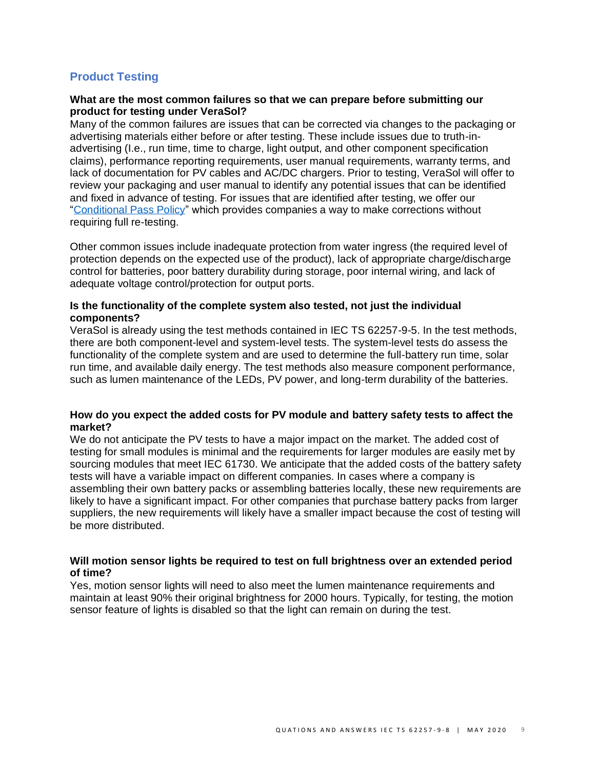## **Product Testing**

#### **What are the most common failures so that we can prepare before submitting our product for testing under VeraSol?**

Many of the common failures are issues that can be corrected via changes to the packaging or advertising materials either before or after testing. These include issues due to truth-inadvertising (I.e., run time, time to charge, light output, and other component specification claims), performance reporting requirements, user manual requirements, warranty terms, and lack of documentation for PV cables and AC/DC chargers. Prior to testing, VeraSol will offer to review your packaging and user manual to identify any potential issues that can be identified and fixed in advance of testing. For issues that are identified after testing, we offer our ["Conditional Pass Policy"](https://www.lightingglobal.org/resource/conditional-pass-policy/) which provides companies a way to make corrections without requiring full re-testing.

Other common issues include inadequate protection from water ingress (the required level of protection depends on the expected use of the product), lack of appropriate charge/discharge control for batteries, poor battery durability during storage, poor internal wiring, and lack of adequate voltage control/protection for output ports.

## **Is the functionality of the complete system also tested, not just the individual components?**

VeraSol is already using the test methods contained in IEC TS 62257-9-5. In the test methods, there are both component-level and system-level tests. The system-level tests do assess the functionality of the complete system and are used to determine the full-battery run time, solar run time, and available daily energy. The test methods also measure component performance, such as lumen maintenance of the LEDs, PV power, and long-term durability of the batteries.

## **How do you expect the added costs for PV module and battery safety tests to affect the market?**

We do not anticipate the PV tests to have a major impact on the market. The added cost of testing for small modules is minimal and the requirements for larger modules are easily met by sourcing modules that meet IEC 61730. We anticipate that the added costs of the battery safety tests will have a variable impact on different companies. In cases where a company is assembling their own battery packs or assembling batteries locally, these new requirements are likely to have a significant impact. For other companies that purchase battery packs from larger suppliers, the new requirements will likely have a smaller impact because the cost of testing will be more distributed.

## **Will motion sensor lights be required to test on full brightness over an extended period of time?**

Yes, motion sensor lights will need to also meet the lumen maintenance requirements and maintain at least 90% their original brightness for 2000 hours. Typically, for testing, the motion sensor feature of lights is disabled so that the light can remain on during the test.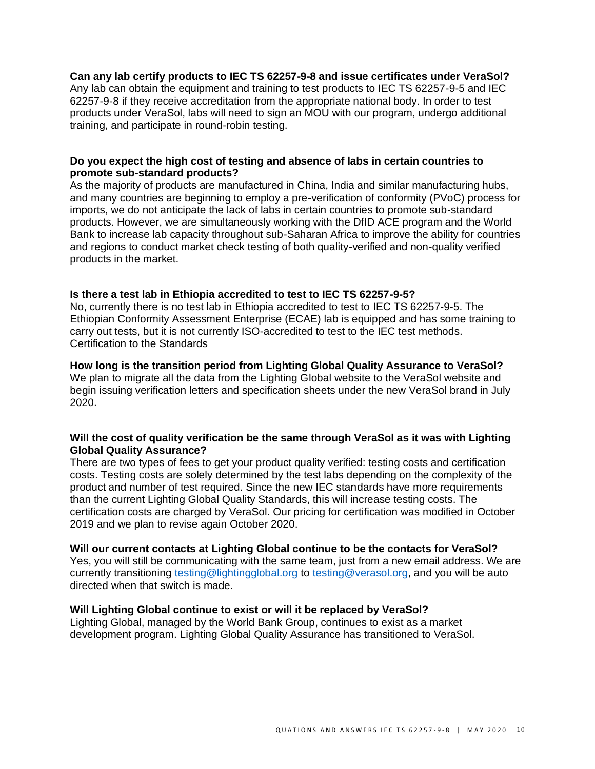## **Can any lab certify products to IEC TS 62257-9-8 and issue certificates under VeraSol?**  Any lab can obtain the equipment and training to test products to IEC TS 62257-9-5 and IEC 62257-9-8 if they receive accreditation from the appropriate national body. In order to test products under VeraSol, labs will need to sign an MOU with our program, undergo additional training, and participate in round-robin testing.

## **Do you expect the high cost of testing and absence of labs in certain countries to promote sub-standard products?**

As the majority of products are manufactured in China, India and similar manufacturing hubs, and many countries are beginning to employ a pre-verification of conformity (PVoC) process for imports, we do not anticipate the lack of labs in certain countries to promote sub-standard products. However, we are simultaneously working with the DfID ACE program and the World Bank to increase lab capacity throughout sub-Saharan Africa to improve the ability for countries and regions to conduct market check testing of both quality-verified and non-quality verified products in the market.

## **Is there a test lab in Ethiopia accredited to test to IEC TS 62257-9-5?**

No, currently there is no test lab in Ethiopia accredited to test to IEC TS 62257-9-5. The Ethiopian Conformity Assessment Enterprise (ECAE) lab is equipped and has some training to carry out tests, but it is not currently ISO-accredited to test to the IEC test methods. Certification to the Standards

# <span id="page-9-0"></span>**How long is the transition period from Lighting Global Quality Assurance to VeraSol?**

We plan to migrate all the data from the Lighting Global website to the VeraSol website and begin issuing verification letters and specification sheets under the new VeraSol brand in July 2020.

## **Will the cost of quality verification be the same through VeraSol as it was with Lighting Global Quality Assurance?**

There are two types of fees to get your product quality verified: testing costs and certification costs. Testing costs are solely determined by the test labs depending on the complexity of the product and number of test required. Since the new IEC standards have more requirements than the current Lighting Global Quality Standards, this will increase testing costs. The certification costs are charged by VeraSol. Our pricing for certification was modified in October 2019 and we plan to revise again October 2020.

## **Will our current contacts at Lighting Global continue to be the contacts for VeraSol?**

Yes, you will still be communicating with the same team, just from a new email address. We are currently transitioning [testing@lightingglobal.org](mailto:testing@lightingglobal.org) to [testing@verasol.org,](mailto:testing@verasol.org) and you will be auto directed when that switch is made.

## **Will Lighting Global continue to exist or will it be replaced by VeraSol?**

Lighting Global, managed by the World Bank Group, continues to exist as a market development program. Lighting Global Quality Assurance has transitioned to VeraSol.